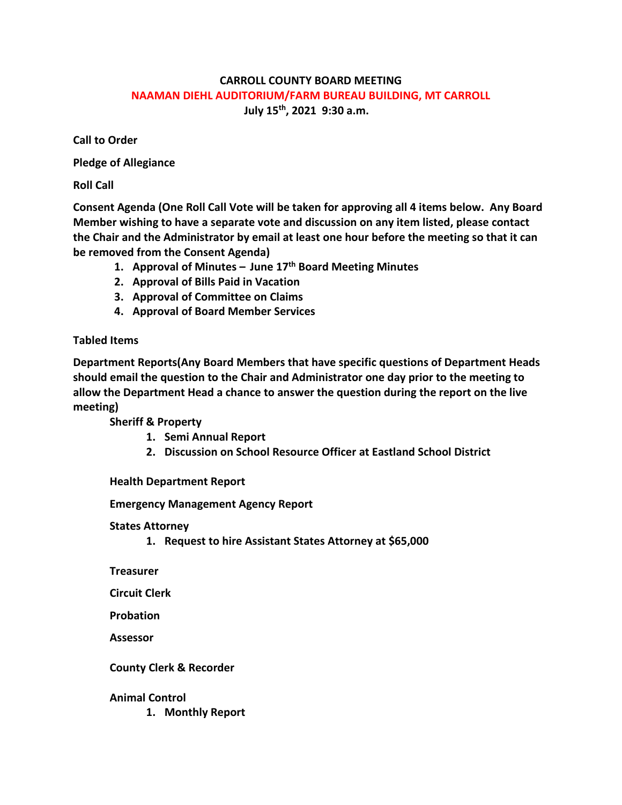## **CARROLL COUNTY BOARD MEETING NAAMAN DIEHL AUDITORIUM/FARM BUREAU BUILDING, MT CARROLL July 15th, 2021 9:30 a.m.**

**Call to Order**

**Pledge of Allegiance**

**Roll Call**

**Consent Agenda (One Roll Call Vote will be taken for approving all 4 items below. Any Board Member wishing to have a separate vote and discussion on any item listed, please contact the Chair and the Administrator by email at least one hour before the meeting so that it can be removed from the Consent Agenda)**

- **1. Approval of Minutes – June 17th Board Meeting Minutes**
- **2. Approval of Bills Paid in Vacation**
- **3. Approval of Committee on Claims**
- **4. Approval of Board Member Services**

# **Tabled Items**

**Department Reports(Any Board Members that have specific questions of Department Heads should email the question to the Chair and Administrator one day prior to the meeting to allow the Department Head a chance to answer the question during the report on the live meeting)**

**Sheriff & Property**

- **1. Semi Annual Report**
- **2. Discussion on School Resource Officer at Eastland School District**

**Health Department Report**

**Emergency Management Agency Report**

**States Attorney**

**1. Request to hire Assistant States Attorney at \$65,000**

**Treasurer**

**Circuit Clerk**

**Probation**

**Assessor**

**County Clerk & Recorder**

### **Animal Control**

**1. Monthly Report**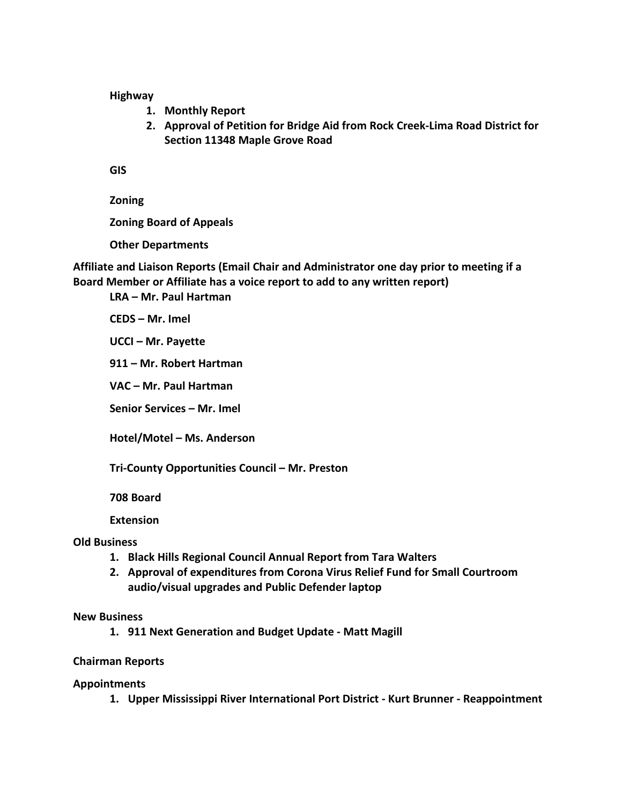**Highway**

- **1. Monthly Report**
- **2. Approval of Petition for Bridge Aid from Rock Creek-Lima Road District for Section 11348 Maple Grove Road**

**GIS**

**Zoning**

**Zoning Board of Appeals**

**Other Departments**

**Affiliate and Liaison Reports (Email Chair and Administrator one day prior to meeting if a Board Member or Affiliate has a voice report to add to any written report)**

**LRA – Mr. Paul Hartman**

**CEDS – Mr. Imel**

**UCCI – Mr. Payette**

**911 – Mr. Robert Hartman**

**VAC – Mr. Paul Hartman**

**Senior Services – Mr. Imel**

**Hotel/Motel – Ms. Anderson**

**Tri-County Opportunities Council – Mr. Preston**

**708 Board**

**Extension**

#### **Old Business**

- **1. Black Hills Regional Council Annual Report from Tara Walters**
- **2. Approval of expenditures from Corona Virus Relief Fund for Small Courtroom audio/visual upgrades and Public Defender laptop**

#### **New Business**

**1. 911 Next Generation and Budget Update - Matt Magill**

#### **Chairman Reports**

#### **Appointments**

**1. Upper Mississippi River International Port District - Kurt Brunner - Reappointment**